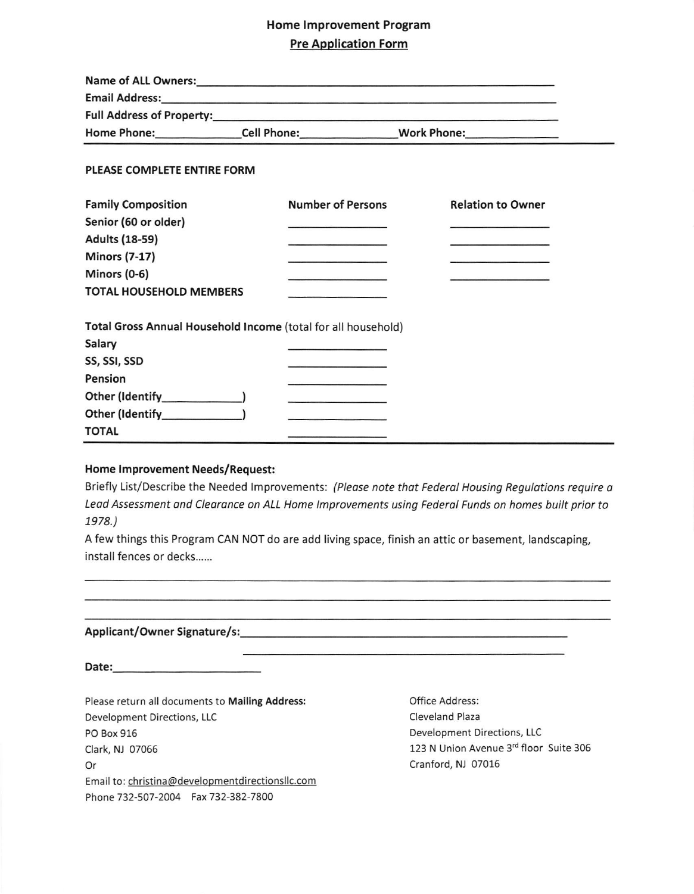## Home lmprovement Program

## Pre Application Form

| Email Address: 1988 and 2008 and 2008 and 2008 and 2008 and 2008 and 2008 and 2008 and 2008 and 2008 and 2008 |                                                                                                                                                                                                                                      |                                                                     |
|---------------------------------------------------------------------------------------------------------------|--------------------------------------------------------------------------------------------------------------------------------------------------------------------------------------------------------------------------------------|---------------------------------------------------------------------|
|                                                                                                               |                                                                                                                                                                                                                                      |                                                                     |
|                                                                                                               |                                                                                                                                                                                                                                      |                                                                     |
| PLEASE COMPLETE ENTIRE FORM                                                                                   |                                                                                                                                                                                                                                      |                                                                     |
| <b>Family Composition</b>                                                                                     | Number of Persons                                                                                                                                                                                                                    | <b>Relation to Owner</b>                                            |
| Senior (60 or older)                                                                                          |                                                                                                                                                                                                                                      | <u> Alemania de la componenta</u>                                   |
| <b>Adults (18-59)</b>                                                                                         | the company of the company of the                                                                                                                                                                                                    |                                                                     |
| <b>Minors (7-17)</b>                                                                                          |                                                                                                                                                                                                                                      | and the contract of the contract of the contract of the contract of |
| Minors (0-6)                                                                                                  |                                                                                                                                                                                                                                      |                                                                     |
| <b>TOTAL HOUSEHOLD MEMBERS</b>                                                                                |                                                                                                                                                                                                                                      |                                                                     |
| Total Gross Annual Household Income (total for all household)                                                 |                                                                                                                                                                                                                                      |                                                                     |
| Salary                                                                                                        |                                                                                                                                                                                                                                      |                                                                     |
| SS, SSI, SSD                                                                                                  |                                                                                                                                                                                                                                      |                                                                     |
| Pension                                                                                                       | <b>CONTRACTOR</b> PRESERVED FAMILY                                                                                                                                                                                                   |                                                                     |
|                                                                                                               | <u>state and the companion of the companion of the companion of the companion of the companion of the companion of the companion of the companion of the companion of the companion of the companion of the companion of the com</u> |                                                                     |
| Other (Identify [19]                                                                                          |                                                                                                                                                                                                                                      |                                                                     |
| <b>TOTAL</b>                                                                                                  |                                                                                                                                                                                                                                      |                                                                     |

#### Home lmprovement Needs/Request:

Briefly List/Describe the Needed Improvements: (Please note that Federal Housing Regulations require a Leod Assessment ond Clearonce on ALL Home lmprovements using Federol Funds on homes built prior to 1978.)

A few things this Program CAN NOT do are add living space, finish an attic or basement, landscaping, install fences or decks......

### Applicant/Owner Signature/s:

Date:

Please return all documents to Mailing Address: Development Directions, LLC PO Box 916 Clark, NJ 07066 Or Email to: christina@developmentdirectionsllc.com Phone 732-507-2004 Fax 732-382-7800

office Address: Cleveland Plaza Development Directions, LLC 123 N Union Avenue 3rd floor Suite 306 cranford, NJ 07016